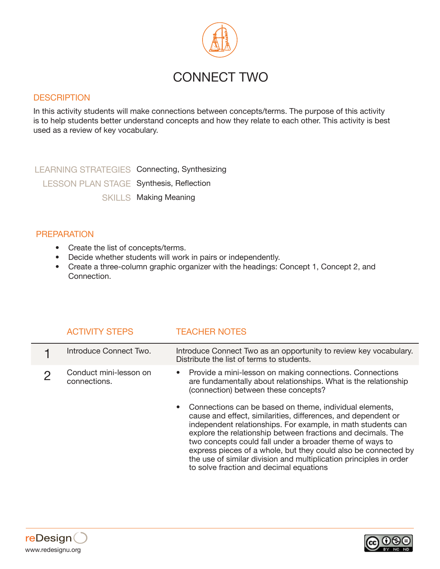

## **DESCRIPTION**

In this activity students will make connections between concepts/terms. The purpose of this activity is to help students better understand concepts and how they relate to each other. This activity is best used as a review of key vocabulary.

LEARNING STRATEGIES Connecting, Synthesizing LESSON PLAN STAGE Synthesis, Reflection SKILLS Making Meaning

## PREPARATION

- Create the list of concepts/terms.
- Decide whether students will work in pairs or independently.
- Create a three-column graphic organizer with the headings: Concept 1, Concept 2, and Connection.

| <b>ACTIVITY STEPS</b>                  | <b>TEACHER NOTES</b>                                                                                                                                                                                                                                                                                                                                                                                                                                                                                      |
|----------------------------------------|-----------------------------------------------------------------------------------------------------------------------------------------------------------------------------------------------------------------------------------------------------------------------------------------------------------------------------------------------------------------------------------------------------------------------------------------------------------------------------------------------------------|
| Introduce Connect Two.                 | Introduce Connect Two as an opportunity to review key vocabulary.<br>Distribute the list of terms to students.                                                                                                                                                                                                                                                                                                                                                                                            |
| Conduct mini-lesson on<br>connections. | Provide a mini-lesson on making connections. Connections<br>are fundamentally about relationships. What is the relationship<br>(connection) between these concepts?                                                                                                                                                                                                                                                                                                                                       |
|                                        | • Connections can be based on theme, individual elements,<br>cause and effect, similarities, differences, and dependent or<br>independent relationships. For example, in math students can<br>explore the relationship between fractions and decimals. The<br>two concepts could fall under a broader theme of ways to<br>express pieces of a whole, but they could also be connected by<br>the use of similar division and multiplication principles in order<br>to solve fraction and decimal equations |